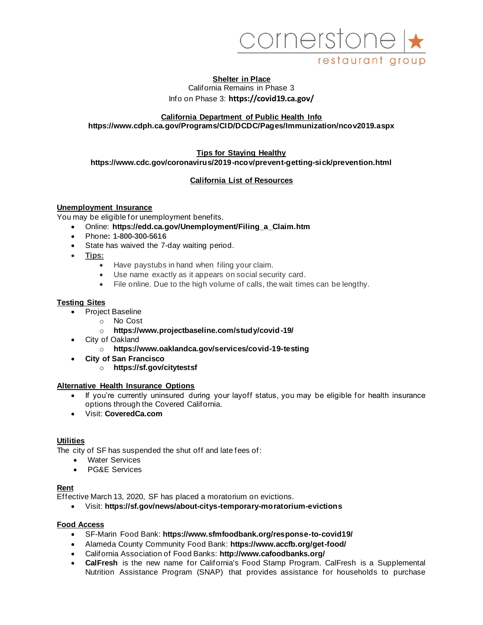

## **Shelter in Place**  California Remains in Phase 3 Info on Phase 3: **https://covid19.ca.gov/**

### **California Department of Public Health Info https://www.cdph.ca.gov/Programs/CID/DCDC/Pages/Immunization/ncov2019.aspx**

#### **Tips for Staying Healthy https://www.cdc.gov/coronavirus/2019-ncov/prevent-getting-sick/prevention.html**

## **California List of Resources**

### **Unemployment Insurance**

You may be eligible for unemployment benefits.

- Online: **https://edd.ca.gov/Unemployment/Filing\_a\_Claim.htm**
- Phone**: 1-800-300-5616**
- State has waived the 7-day waiting period.
- **Tips:**
	- Have paystubs in hand when filing your claim.
	- Use name exactly as it appears on social security card.
	- File online. Due to the high volume of calls, the wait times can be lengthy.

### **Testing Sites**

- Project Baseline
	- o No Cost
		- o **https://www.projectbaseline.com/study/covid-19/**
- City of Oakland
	- o **https://www.oaklandca.gov/services/covid-19-testing**
- **City of San Francisco** 
	- o **https://sf.gov/citytestsf**

### **Alternative Health Insurance Options**

- If you're currently uninsured during your layoff status, you may be eligible for health insurance options through the Covered California.
- Visit: **CoveredCa.com**

### **Utilities**

The city of SF has suspended the shut off and late fees of:

- Water Services
- PG&E Services

## **Rent**

Effective March 13, 2020, SF has placed a moratorium on evictions.

• Visit: **https://sf.gov/news/about-citys-temporary-moratorium-evictions**

### **Food Access**

- SF-Marin Food Bank: **https://www.sfmfoodbank.org/response-to-covid19/**
- Alameda County Community Food Bank: **https://www.accfb.org/get-food/**
- California Association of Food Banks: **http://www.cafoodbanks.org/**
- **CalFresh** is the new name for California's Food Stamp Program. CalFresh is a Supplemental Nutrition Assistance Program (SNAP) that provides assistance for households to purchase